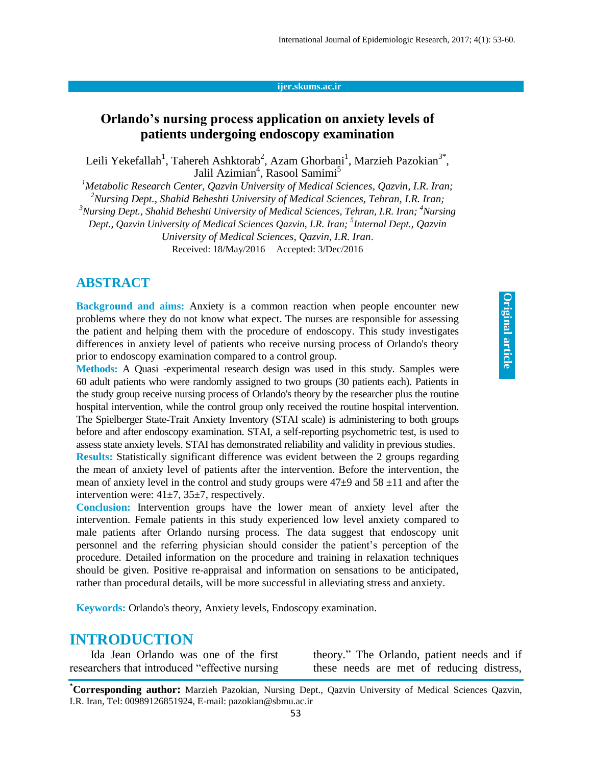#### **ijer.skums.ac.ir**

### **Orlando's nursing process application on anxiety levels of patients undergoing endoscopy examination**

Leili Yekefallah<sup>1</sup>, Tahereh Ashktorab<sup>2</sup>, Azam Ghorbani<sup>1</sup>, Marzieh Pazokian<sup>3\*</sup>, Jalil Azimian<sup>4</sup>, Rasool Samimi<sup>5</sup>

*<sup>1</sup>Metabolic Research Center, Qazvin University of Medical Sciences, Qazvin, I.R. Iran; <sup>2</sup>Nursing Dept., Shahid Beheshti University of Medical Sciences, Tehran, I.R. Iran;*  <sup>3</sup><sup>*Nursing Dept., Shahid Beheshti University of Medical Sciences, Tehran, I.R. Iran; <sup>4</sup>Nursing</sup> Dept., Qazvin University of Medical Sciences Qazvin, I.R. Iran; 5 Internal Dept., Qazvin University of Medical Sciences, Qazvin, I.R. Iran*. Received: 18/May/2016 Accepted: 3/Dec/2016

#### **ABSTRACT**

**Background and aims:** Anxiety is a common reaction when people encounter new problems where they do not know what expect. The nurses are responsible for assessing the patient and helping them with the procedure of endoscopy. This study investigates differences in anxiety level of patients who receive nursing process of Orlando's theory prior to endoscopy examination compared to a control group.

**Methods:** A Quasi -experimental research design was used in this study. Samples were 60 adult patients who were randomly assigned to two groups (30 patients each). Patients in the study group receive nursing process of Orlando's theory by the researcher plus the routine hospital intervention, while the control group only received the routine hospital intervention. The Spielberger State-Trait Anxiety Inventory (STAI scale) is administering to both groups before and after endoscopy examination. STAI, a self-reporting psychometric test, is used to assess state anxiety levels. STAI has demonstrated reliability and validity in previous studies. **Results:** Statistically significant difference was evident between the 2 groups regarding the mean of anxiety level of patients after the intervention. Before the intervention, the mean of anxiety level in the control and study groups were  $47\pm9$  and  $58\pm11$  and after the intervention were:  $41\pm7$ ,  $35\pm7$ , respectively.

**Conclusion:** Intervention groups have the lower mean of anxiety level after the intervention. Female patients in this study experienced low level anxiety compared to male patients after Orlando nursing process. The data suggest that endoscopy unit personnel and the referring physician should consider the patient's perception of the procedure. Detailed information on the procedure and training in relaxation techniques should be given. Positive re-appraisal and information on sensations to be anticipated, rather than procedural details, will be more successful in alleviating stress and anxiety.

**Keywords:** Orlando's theory, Anxiety levels, Endoscopy examination.

#### **INTRODUCTION**

Ida Jean Orlando was one of the first researchers that introduced "effective nursing

theory." The Orlando, patient needs and if these needs are met of reducing distress,

**<sup>\*</sup>Corresponding author:** Marzieh Pazokian, Nursing Dept., Qazvin University of Medical Sciences Qazvin, I.R. Iran, Tel: 00989126851924, E-mail: pazokian@sbmu.ac.ir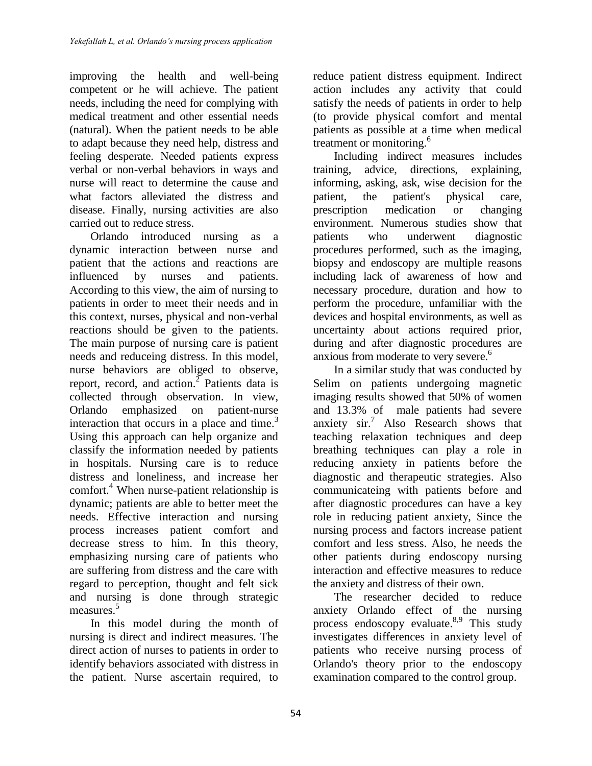improving the health and well-being competent or he will achieve. The patient needs, including the need for complying with medical treatment and other essential needs (natural). When the patient needs to be able to adapt because they need help, distress and feeling desperate. Needed patients express verbal or non-verbal behaviors in ways and nurse will react to determine the cause and what factors alleviated the distress and disease. Finally, nursing activities are also carried out to reduce stress.

Orlando introduced nursing as a dynamic interaction between nurse and patient that the actions and reactions are influenced by nurses and patients. According to this view, the aim of nursing to patients in order to meet their needs and in this context, nurses, physical and non-verbal reactions should be given to the patients. The main purpose of nursing care is patient needs and reduceing distress. In this model, nurse behaviors are obliged to observe, report, record, and action.<sup>2</sup> Patients data is collected through observation. In view, Orlando emphasized on patient-nurse interaction that occurs in a place and time.<sup>3</sup> Using this approach can help organize and classify the information needed by patients in hospitals. Nursing care is to reduce distress and loneliness, and increase her comfort. <sup>4</sup> When nurse-patient relationship is dynamic; patients are able to better meet the needs. Effective interaction and nursing process increases patient comfort and decrease stress to him. In this theory, emphasizing nursing care of patients who are suffering from distress and the care with regard to perception, thought and felt sick and nursing is done through strategic measures. 5

In this model during the month of nursing is direct and indirect measures. The direct action of nurses to patients in order to identify behaviors associated with distress in the patient. Nurse ascertain required, to

reduce patient distress equipment. Indirect action includes any activity that could satisfy the needs of patients in order to help (to provide physical comfort and mental patients as possible at a time when medical treatment or monitoring. 6

Including indirect measures includes training, advice, directions, explaining, informing, asking, ask, wise decision for the patient, the patient's physical care, prescription medication or changing environment. Numerous studies show that patients who underwent diagnostic procedures performed, such as the imaging, biopsy and endoscopy are multiple reasons including lack of awareness of how and necessary procedure, duration and how to perform the procedure, unfamiliar with the devices and hospital environments, as well as uncertainty about actions required prior, during and after diagnostic procedures are anxious from moderate to very severe. 6

In a similar study that was conducted by Selim on patients undergoing magnetic imaging results showed that 50% of women and 13.3% of male patients had severe anxiety sir. <sup>7</sup> Also Research shows that teaching relaxation techniques and deep breathing techniques can play a role in reducing anxiety in patients before the diagnostic and therapeutic strategies. Also communicateing with patients before and after diagnostic procedures can have a key role in reducing patient anxiety, Since the nursing process and factors increase patient comfort and less stress. Also, he needs the other patients during endoscopy nursing interaction and effective measures to reduce the anxiety and distress of their own.

The researcher decided to reduce anxiety Orlando effect of the nursing process endoscopy evaluate.<sup>8,9</sup> This study investigates differences in anxiety level of patients who receive nursing process of Orlando's theory prior to the endoscopy examination compared to the control group.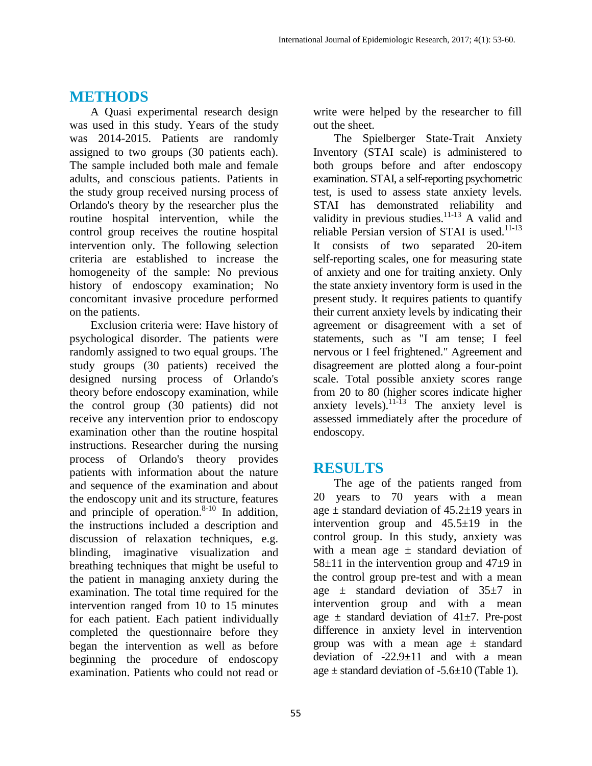## **METHODS**

A Quasi experimental research design was used in this study. Years of the study was 2014-2015. Patients are randomly assigned to two groups (30 patients each). The sample included both male and female adults, and conscious patients. Patients in the study group received nursing process of Orlando's theory by the researcher plus the routine hospital intervention, while the control group receives the routine hospital intervention only. The following selection criteria are established to increase the homogeneity of the sample: No previous history of endoscopy examination; No concomitant invasive procedure performed on the patients.

Exclusion criteria were: Have history of psychological disorder. The patients were randomly assigned to two equal groups. The study groups (30 patients) received the designed nursing process of Orlando's theory before endoscopy examination, while the control group (30 patients) did not receive any intervention prior to endoscopy examination other than the routine hospital instructions. Researcher during the nursing process of Orlando's theory provides patients with information about the nature and sequence of the examination and about the endoscopy unit and its structure, features and principle of operation. $8-10$  In addition, the instructions included a description and discussion of relaxation techniques, e.g. blinding, imaginative visualization and breathing techniques that might be useful to the patient in managing anxiety during the examination. The total time required for the intervention ranged from 10 to 15 minutes for each patient. Each patient individually completed the questionnaire before they began the intervention as well as before beginning the procedure of endoscopy examination. Patients who could not read or

write were helped by the researcher to fill out the sheet.

The Spielberger State-Trait Anxiety Inventory (STAI scale) is administered to both groups before and after endoscopy examination. STAI, a self-reporting psychometric test, is used to assess state anxiety levels. STAI has demonstrated reliability and validity in previous studies.<sup>11-13</sup> A valid and reliable Persian version of STAI is used. 11-13 It consists of two separated 20-item self-reporting scales, one for measuring state of anxiety and one for traiting anxiety. Only the state anxiety inventory form is used in the present study. It requires patients to quantify their current anxiety levels by indicating their agreement or disagreement with a set of statements, such as "I am tense; I feel nervous or I feel frightened." Agreement and disagreement are plotted along a four-point scale. Total possible anxiety scores range from 20 to 80 (higher scores indicate higher anxiety levels).  $11-13$  The anxiety level is assessed immediately after the procedure of endoscopy.

### **RESULTS**

The age of the patients ranged from 20 years to 70 years with a mean age  $\pm$  standard deviation of 45.2 $\pm$ 19 years in intervention group and  $45.5\pm19$  in the control group. In this study, anxiety was with a mean age  $\pm$  standard deviation of  $58\pm11$  in the intervention group and  $47\pm9$  in the control group pre-test and with a mean age  $\pm$  standard deviation of 35 $\pm$ 7 in intervention group and with a mean age  $\pm$  standard deviation of 41 $\pm$ 7. Pre-post difference in anxiety level in intervention group was with a mean age  $\pm$  standard deviation of  $-22.9 \pm 11$  and with a mean age  $\pm$  standard deviation of -5.6 $\pm$ 10 (Table 1).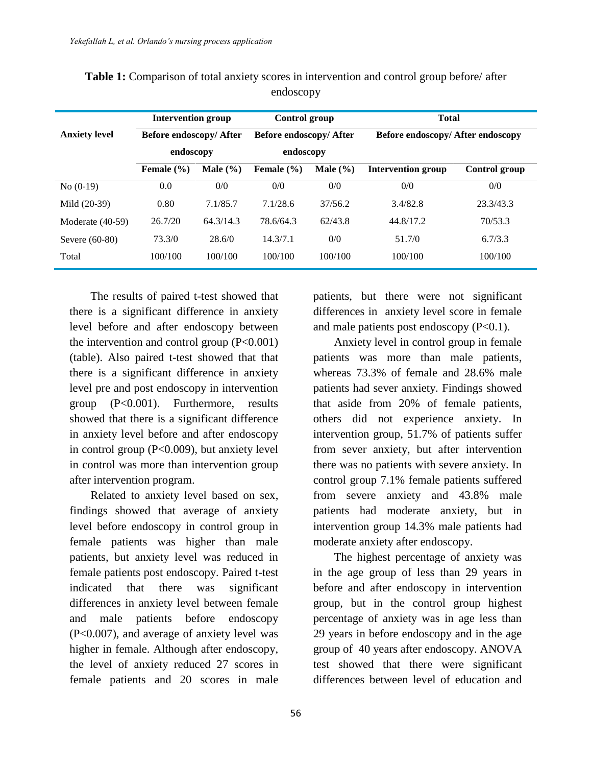|                      | <b>Intervention group</b><br><b>Before endoscopy/ After</b> |              | Control group<br><b>Before endoscopy/ After</b> |              | <b>Total</b><br><b>Before endoscopy/ After endoscopy</b> |               |
|----------------------|-------------------------------------------------------------|--------------|-------------------------------------------------|--------------|----------------------------------------------------------|---------------|
| <b>Anxiety level</b> |                                                             |              |                                                 |              |                                                          |               |
|                      | endoscopy                                                   |              | endoscopy                                       |              |                                                          |               |
|                      | Female $(\% )$                                              | Male $(\% )$ | Female $(\% )$                                  | Male $(\% )$ | <b>Intervention group</b>                                | Control group |
| No $(0-19)$          | 0.0                                                         | 0/0          | 0/0                                             | 0/0          | 0/0                                                      | 0/0           |
| Mild (20-39)         | 0.80                                                        | 7.1/85.7     | 7.1/28.6                                        | 37/56.2      | 3.4/82.8                                                 | 23.3/43.3     |
| Moderate $(40-59)$   | 26.7/20                                                     | 64.3/14.3    | 78.6/64.3                                       | 62/43.8      | 44.8/17.2                                                | 70/53.3       |
| Severe (60-80)       | 73.3/0                                                      | 28.6/0       | 14.3/7.1                                        | 0/0          | 51.7/0                                                   | 6.7/3.3       |
| Total                | 100/100                                                     | 100/100      | 100/100                                         | 100/100      | 100/100                                                  | 100/100       |

**Table 1:** Comparison of total anxiety scores in intervention and control group before/ after endoscopy

The results of paired t-test showed that there is a significant difference in anxiety level before and after endoscopy between the intervention and control group  $(P<0.001)$ (table). Also paired t-test showed that that there is a significant difference in anxiety level pre and post endoscopy in intervention group (P<0.001). Furthermore, results showed that there is a significant difference in anxiety level before and after endoscopy in control group (P<0.009), but anxiety level in control was more than intervention group after intervention program.

Related to anxiety level based on sex, findings showed that average of anxiety level before endoscopy in control group in female patients was higher than male patients, but anxiety level was reduced in female patients post endoscopy. Paired t-test indicated that there was significant differences in anxiety level between female and male patients before endoscopy (P<0.007), and average of anxiety level was higher in female. Although after endoscopy, the level of anxiety reduced 27 scores in female patients and 20 scores in male

patients, but there were not significant differences in anxiety level score in female and male patients post endoscopy  $(P<0.1)$ .

Anxiety level in control group in female patients was more than male patients, whereas 73.3% of female and 28.6% male patients had sever anxiety. Findings showed that aside from 20% of female patients, others did not experience anxiety. In intervention group, 51.7% of patients suffer from sever anxiety, but after intervention there was no patients with severe anxiety. In control group 7.1% female patients suffered from severe anxiety and 43.8% male patients had moderate anxiety, but in intervention group 14.3% male patients had moderate anxiety after endoscopy.

The highest percentage of anxiety was in the age group of less than 29 years in before and after endoscopy in intervention group, but in the control group highest percentage of anxiety was in age less than 29 years in before endoscopy and in the age group of 40 years after endoscopy. ANOVA test showed that there were significant differences between level of education and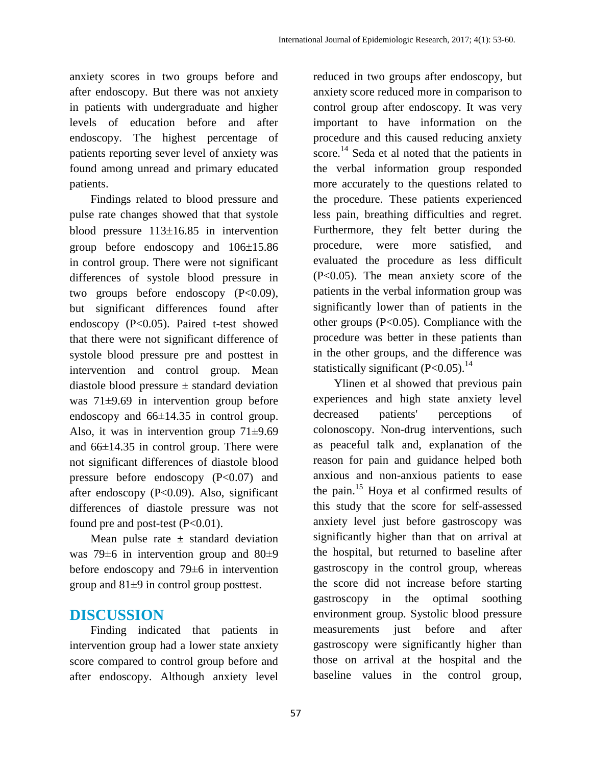anxiety scores in two groups before and after endoscopy. But there was not anxiety in patients with undergraduate and higher levels of education before and after endoscopy. The highest percentage of patients reporting sever level of anxiety was found among unread and primary educated patients.

Findings related to blood pressure and pulse rate changes showed that that systole blood pressure  $113\pm16.85$  in intervention group before endoscopy and  $106\pm15.86$ in control group. There were not significant differences of systole blood pressure in two groups before endoscopy  $(P<0.09)$ , but significant differences found after endoscopy (P<0.05). Paired t-test showed that there were not significant difference of systole blood pressure pre and posttest in intervention and control group. Mean diastole blood pressure ± standard deviation was 71±9.69 in intervention group before endoscopy and 66±14.35 in control group. Also, it was in intervention group  $71\pm9.69$ and 66±14.35 in control group. There were not significant differences of diastole blood pressure before endoscopy  $(P<0.07)$  and after endoscopy  $(P<0.09)$ . Also, significant differences of diastole pressure was not found pre and post-test  $(P<0.01)$ .

Mean pulse rate  $\pm$  standard deviation was 79±6 in intervention group and 80±9 before endoscopy and 79±6 in intervention group and 81±9 in control group posttest.

### **DISCUSSION**

Finding indicated that patients in intervention group had a lower state anxiety score compared to control group before and after endoscopy. Although anxiety level

reduced in two groups after endoscopy, but anxiety score reduced more in comparison to control group after endoscopy. It was very important to have information on the procedure and this caused reducing anxiety score.<sup>14</sup> Seda et al noted that the patients in the verbal information group responded more accurately to the questions related to the procedure. These patients experienced less pain, breathing difficulties and regret. Furthermore, they felt better during the procedure, were more satisfied, and evaluated the procedure as less difficult (P<0.05). The mean anxiety score of the patients in the verbal information group was significantly lower than of patients in the other groups (P<0.05). Compliance with the procedure was better in these patients than in the other groups, and the difference was statistically significant  $(P<0.05)$ .<sup>14</sup>

Ylinen et al showed that previous pain experiences and high state anxiety level decreased patients' perceptions of colonoscopy. Non-drug interventions, such as peaceful talk and, explanation of the reason for pain and guidance helped both anxious and non-anxious patients to ease the pain. <sup>15</sup> Hoya et al confirmed results of this study that the score for self-assessed anxiety level just before gastroscopy was significantly higher than that on arrival at the hospital, but returned to baseline after gastroscopy in the control group, whereas the score did not increase before starting gastroscopy in the optimal soothing environment group. Systolic blood pressure measurements just before and after gastroscopy were significantly higher than those on arrival at the hospital and the baseline values in the control group,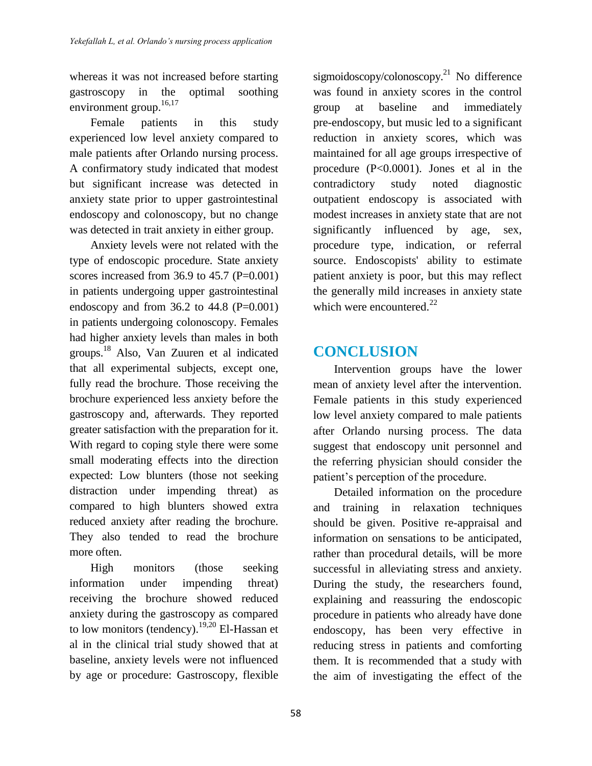whereas it was not increased before starting gastroscopy in the optimal soothing environment group.<sup>16,17</sup>

Female patients in this study experienced low level anxiety compared to male patients after Orlando nursing process. A confirmatory study indicated that modest but significant increase was detected in anxiety state prior to upper gastrointestinal endoscopy and colonoscopy, but no change was detected in trait anxiety in either group.

Anxiety levels were not related with the type of endoscopic procedure. State anxiety scores increased from 36.9 to 45.7 ( $P=0.001$ ) in patients undergoing upper gastrointestinal endoscopy and from  $36.2$  to  $44.8$  (P=0.001) in patients undergoing colonoscopy. Females had higher anxiety levels than males in both groups. <sup>18</sup> Also, Van Zuuren et al indicated that all experimental subjects, except one, fully read the brochure. Those receiving the brochure experienced less anxiety before the gastroscopy and, afterwards. They reported greater satisfaction with the preparation for it. With regard to coping style there were some small moderating effects into the direction expected: Low blunters (those not seeking distraction under impending threat) as compared to high blunters showed extra reduced anxiety after reading the brochure. They also tended to read the brochure more often.

High monitors (those seeking information under impending threat) receiving the brochure showed reduced anxiety during the gastroscopy as compared to low monitors (tendency).<sup>19,20</sup> El-Hassan et al in the clinical trial study showed that at baseline, anxiety levels were not influenced by age or procedure: Gastroscopy, flexible

sigmoidoscopy/colonoscopy.<sup>21</sup> No difference was found in anxiety scores in the control group at baseline and immediately pre-endoscopy, but music led to a significant reduction in anxiety scores, which was maintained for all age groups irrespective of procedure (P<0.0001). Jones et al in the contradictory study noted diagnostic outpatient endoscopy is associated with modest increases in anxiety state that are not significantly influenced by age, sex, procedure type, indication, or referral source. Endoscopists' ability to estimate patient anxiety is poor, but this may reflect the generally mild increases in anxiety state which were encountered.<sup>22</sup>

# **CONCLUSION**

Intervention groups have the lower mean of anxiety level after the intervention. Female patients in this study experienced low level anxiety compared to male patients after Orlando nursing process. The data suggest that endoscopy unit personnel and the referring physician should consider the patient's perception of the procedure.

Detailed information on the procedure and training in relaxation techniques should be given. Positive re-appraisal and information on sensations to be anticipated, rather than procedural details, will be more successful in alleviating stress and anxiety. During the study, the researchers found, explaining and reassuring the endoscopic procedure in patients who already have done endoscopy, has been very effective in reducing stress in patients and comforting them. It is recommended that a study with the aim of investigating the effect of the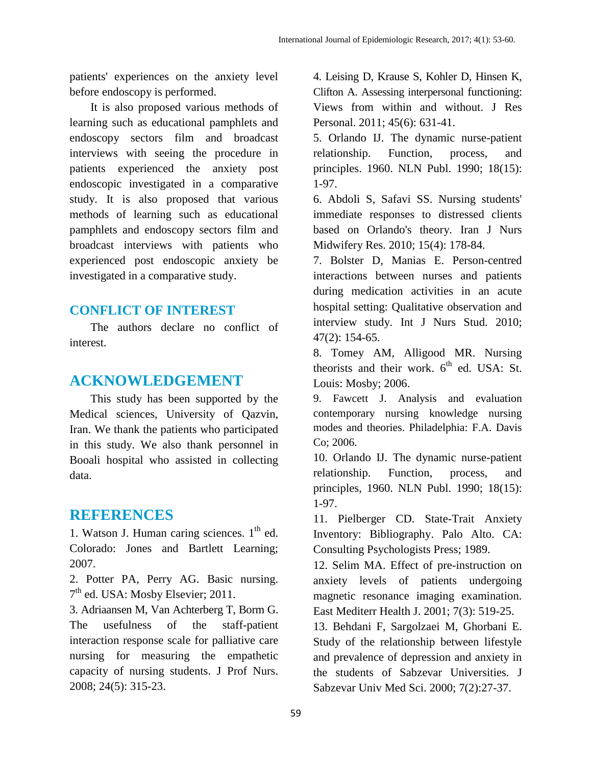patients' experiences on the anxiety level before endoscopy is performed.

It is also proposed various methods of learning such as educational pamphlets and endoscopy sectors film and broadcast interviews with seeing the procedure in patients experienced the anxiety post endoscopic investigated in a comparative study. It is also proposed that various methods of learning such as educational pamphlets and endoscopy sectors film and broadcast interviews with patients who experienced post endoscopic anxiety be investigated in a comparative study.

#### **CONFLICT OF INTEREST**

The authors declare no conflict of interest.

#### **ACKNOWLEDGEMENT**

This study has been supported by the Medical sciences, University of Qazvin, Iran. We thank the patients who participated in this study. We also thank personnel in Booali hospital who assisted in collecting data.

### **REFERENCES**

1. Watson J. Human caring sciences.  $1<sup>th</sup>$  ed. Colorado: Jones and Bartlett Learning; 2007.

2. Potter PA, Perry AG. Basic nursing. 7<sup>th</sup> ed. USA: Mosby Elsevier; 2011.

3. Adriaansen M, Van Achterberg T, Borm G. The usefulness of the staff-patient interaction response scale for palliative care nursing for measuring the empathetic capacity of nursing students. J Prof Nurs. 2008; 24(5): 315-23.

4. Leising D, Krause S, Kohler D, Hinsen K, Clifton A. Assessing interpersonal functioning: Views from within and without. J Res Personal. 2011; 45(6): 631-41.

5. Orlando IJ. The dynamic nurse-patient relationship. Function, process, and principles. 1960. NLN Publ. 1990; 18(15): 1-97.

6. Abdoli S, Safavi SS. Nursing students' immediate responses to distressed clients based on Orlando's theory. Iran J Nurs Midwifery Res. 2010; 15(4): 178-84.

7. Bolster D, Manias E. Person-centred interactions between nurses and patients during medication activities in an acute hospital setting: Qualitative observation and interview study. Int J Nurs Stud. 2010; 47(2): 154-65.

8. Tomey AM, Alligood MR. Nursing theorists and their work.  $6<sup>th</sup>$  ed. USA: St. Louis: Mosby; 2006.

9. Fawcett J. Analysis and evaluation contemporary nursing knowledge nursing modes and theories. Philadelphia: F.A. Davis Co; 2006.

10. Orlando IJ. The dynamic nurse-patient relationship. Function, process, and principles, 1960. NLN Publ. 1990; 18(15): 1-97.

11. Pielberger CD. State-Trait Anxiety Inventory: Bibliography. Palo Alto. CA: Consulting Psychologists Press; 1989.

12. Selim MA. Effect of pre-instruction on anxiety levels of patients undergoing magnetic resonance imaging examination. East Mediterr Health J. 2001; 7(3): 519-25.

13. Behdani F, Sargolzaei M, Ghorbani E. Study of the relationship between lifestyle and prevalence of depression and anxiety in the students of Sabzevar Universities. J Sabzevar Univ Med Sci. 2000; 7(2):27-37.